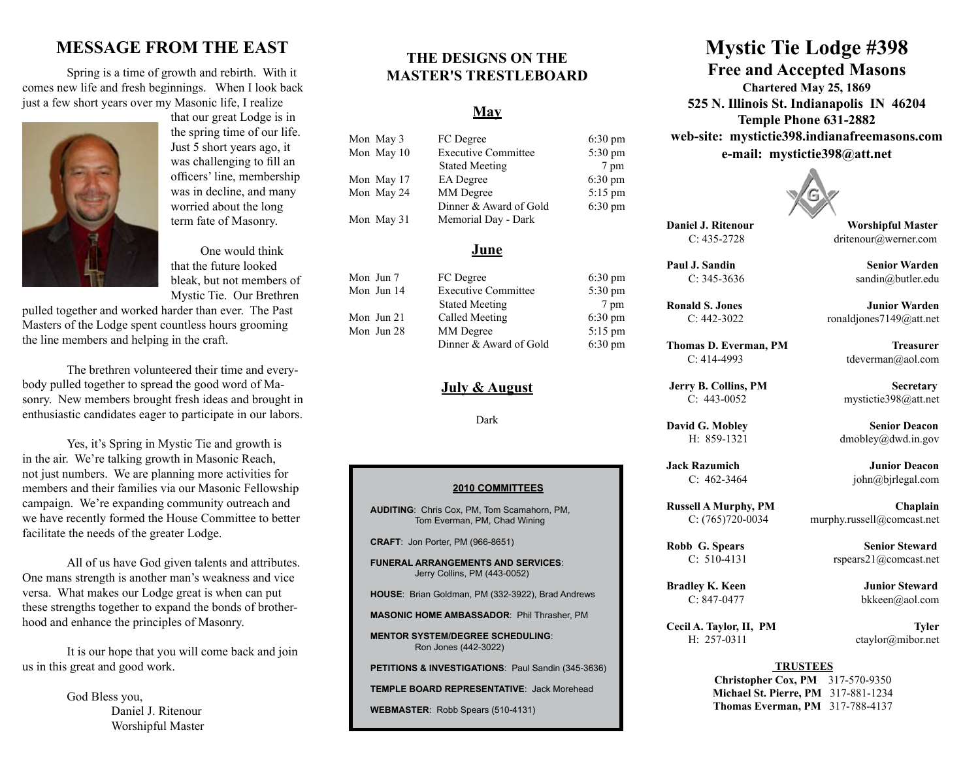# **MESSAGE FROM THE EAST**

 Spring is a time of growth and rebirth. With it comes new life and fresh beginnings. When I look back just a few short years over my Masonic life, I realize



that our great Lodge is in the spring time of our life. Just 5 short years ago, it was challenging to fill an officers' line, membership was in decline, and many worried about the long term fate of Masonry.

 One would think that the future looked bleak, but not members of Mystic Tie. Our Brethren

pulled together and worked harder than ever. The Past Masters of the Lodge spent countless hours grooming the line members and helping in the craft.

 The brethren volunteered their time and everybody pulled together to spread the good word of Masonry. New members brought fresh ideas and brought in enthusiastic candidates eager to participate in our labors.

Yes, it's Spring in Mystic Tie and growth is in the air. We're talking growth in Masonic Reach, not just numbers. We are planning more activities for members and their families via our Masonic Fellowship campaign. We're expanding community outreach and we have recently formed the House Committee to better facilitate the needs of the greater Lodge.

 All of us have God given talents and attributes. One mans strength is another man's weakness and vice versa. What makes our Lodge great is when can put these strengths together to expand the bonds of brotherhood and enhance the principles of Masonry.

 It is our hope that you will come back and join us in this great and good work.

> God Bless you, Daniel J. Ritenour Worshipful Master

# **THE DESIGNS ON THE MASTER'S TRESTLEBOARD**

## **May**

| Mon May 3  | FC Degree                  | $6:30 \text{ pm}$ |
|------------|----------------------------|-------------------|
| Mon May 10 | <b>Executive Committee</b> | 5:30 pm           |
|            | <b>Stated Meeting</b>      | 7 pm              |
| Mon May 17 | <b>EA</b> Degree           | $6:30 \text{ pm}$ |
| Mon May 24 | MM Degree                  | $5:15$ pm         |
|            | Dinner & Award of Gold     | $6:30 \text{ pm}$ |
| Mon May 31 | Memorial Day - Dark        |                   |

## **June**

Mon Jun 7 FC Degree 6:30 pm Mon Jun 14 Executive Committee 5:30 pm Stated Meeting 7 pm Mon Jun 21 Called Meeting 6:30 pm Mon Jun 28 MM Degree 5:15 pm Dinner & Award of Gold 6:30 pm

## **July & August**

Dark

#### **2010 COMMITTEES**

**AUDITING**: Chris Cox, PM, Tom Scamahorn, PM, Tom Everman, PM, Chad Wining

**CRAFT**: Jon Porter, PM (966-8651)

**FUNERAL ARRANGEMENTS AND SERVICES**: Jerry Collins, PM (443-0052)

**HOUSE**: Brian Goldman, PM (332-3922), Brad Andrews

**MASONIC HOME AMBASSADOR**: Phil Thrasher, PM

**MENTOR SYSTEM/DEGREE SCHEDULING**: Ron Jones (442-3022)

**PETITIONS & INVESTIGATIONS**: Paul Sandin (345-3636)

**TEMPLE BOARD REPRESENTATIVE**: Jack Morehead

**WEBMASTER**: Robb Spears (510-4131)

# **Mystic Tie Lodge #398 Free and Accepted Masons**

**Chartered May 25, 1869 525 N. Illinois St. Indianapolis IN 46204 Temple Phone 631-2882 web-site: mystictie398.indianafreemasons.com e-mail: mystictie398@att.net**



**Daniel J. Ritenour Worshipful Master** 

C: 435-2728 dritenour@werner.com

**Paul J. Sandin** C: 345-3636 sandin@butler.edu

**Thomas D. Everman, PM Treasurer** C: 414-4993 tdeverman@aol.com

**Jack Razumich Junior Deacon** 

**Ronald S. Jones** *Junior Warden* C: 442-3022 ronaldjones7149@att.net

**Jerry B. Collins, PM Secretary** C: 443-0052 mystictie398@att.net

**David G. Mobley Senior Deacon** H: 859-1321 dmobley@dwd.in.gov

C:  $462-3464$  john@bjrlegal.com

**Russell A Murphy, PM Chaplain** C: (765)720-0034 murphy.russell@comcast.net

**Robb G. Spears Senior Steward** C:  $510-4131$  rspears $21@$ comcast.net

**Bradley K. Keen Junior Steward** C: 847-0477 bkkeen@aol.com

Cecil A. Taylor, II, PM Tyler H: 257-0311 ctaylor@mibor.net

#### **TRUSTEES**

**Christopher Cox, PM** 317-570-9350 **Michael St. Pierre, PM** 317-881-1234 **Thomas Everman, PM** 317-788-4137